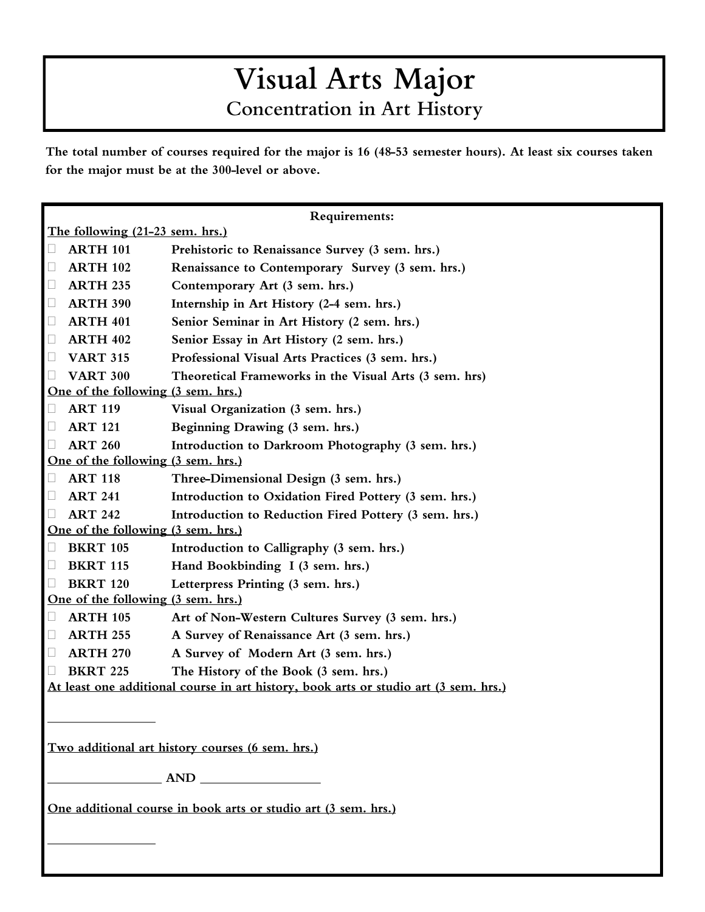## Visual Arts Major **Concentration in Art History**

The total number of courses required for the major is 16 (48-53 semester hours). At least six courses taken for the major must be at the 300-level or above.

| Requirements:                                                                        |                 |                                                        |
|--------------------------------------------------------------------------------------|-----------------|--------------------------------------------------------|
| The following (21-23 sem. hrs.)                                                      |                 |                                                        |
| $\Box$                                                                               | <b>ARTH 101</b> | Prehistoric to Renaissance Survey (3 sem. hrs.)        |
| $\Box$                                                                               | <b>ARTH 102</b> | Renaissance to Contemporary Survey (3 sem. hrs.)       |
| $\Box$                                                                               | <b>ARTH 235</b> | Contemporary Art (3 sem. hrs.)                         |
| $\Box$                                                                               | <b>ARTH 390</b> | Internship in Art History (2-4 sem. hrs.)              |
| $\Box$                                                                               | <b>ARTH 401</b> | Senior Seminar in Art History (2 sem. hrs.)            |
| $\Box$                                                                               | <b>ARTH 402</b> | Senior Essay in Art History (2 sem. hrs.)              |
| $\Box$                                                                               | <b>VART 315</b> | Professional Visual Arts Practices (3 sem. hrs.)       |
| $\Box$                                                                               | <b>VART 300</b> | Theoretical Frameworks in the Visual Arts (3 sem. hrs) |
| One of the following (3 sem. hrs.)                                                   |                 |                                                        |
| Ц                                                                                    | <b>ART 119</b>  | Visual Organization (3 sem. hrs.)                      |
| $\Box$                                                                               | <b>ART 121</b>  | Beginning Drawing (3 sem. hrs.)                        |
| $\Box$                                                                               | <b>ART 260</b>  | Introduction to Darkroom Photography (3 sem. hrs.)     |
| One of the following (3 sem. hrs.)                                                   |                 |                                                        |
| $\Box$                                                                               | <b>ART 118</b>  | Three-Dimensional Design (3 sem. hrs.)                 |
| $\Box$                                                                               | <b>ART 241</b>  | Introduction to Oxidation Fired Pottery (3 sem. hrs.)  |
| $\Box$                                                                               | <b>ART 242</b>  | Introduction to Reduction Fired Pottery (3 sem. hrs.)  |
| One of the following (3 sem. hrs.)                                                   |                 |                                                        |
| Ц                                                                                    | <b>BKRT 105</b> | Introduction to Calligraphy (3 sem. hrs.)              |
| $\Box$                                                                               | <b>BKRT 115</b> | Hand Bookbinding I (3 sem. hrs.)                       |
| $\Box$                                                                               | <b>BKRT 120</b> | Letterpress Printing (3 sem. hrs.)                     |
| One of the following (3 sem. hrs.)                                                   |                 |                                                        |
| $\Box$                                                                               | <b>ARTH 105</b> | Art of Non-Western Cultures Survey (3 sem. hrs.)       |
| $\Box$                                                                               | <b>ARTH 255</b> | A Survey of Renaissance Art (3 sem. hrs.)              |
| $\Box$                                                                               | <b>ARTH 270</b> | A Survey of Modern Art (3 sem. hrs.)                   |
| $\Box$                                                                               | <b>BKRT 225</b> | The History of the Book (3 sem. hrs.)                  |
| At least one additional course in art history, book arts or studio art (3 sem. hrs.) |                 |                                                        |
|                                                                                      |                 |                                                        |
|                                                                                      |                 |                                                        |
| Two additional art history courses (6 sem. hrs.)                                     |                 |                                                        |
|                                                                                      |                 | $\frac{1}{\sqrt{1-\frac{1}{2}}}\text{AND}$             |
|                                                                                      |                 |                                                        |
| One additional course in book arts or studio art (3 sem. hrs.)                       |                 |                                                        |
|                                                                                      |                 |                                                        |
|                                                                                      |                 |                                                        |
|                                                                                      |                 |                                                        |